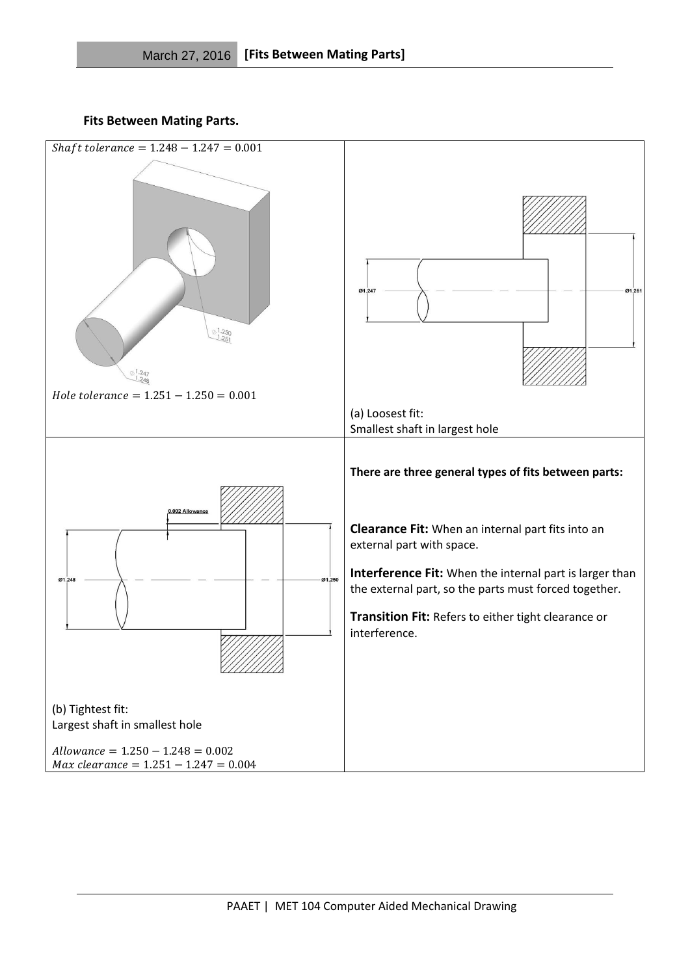**Fits Between Mating Parts.**